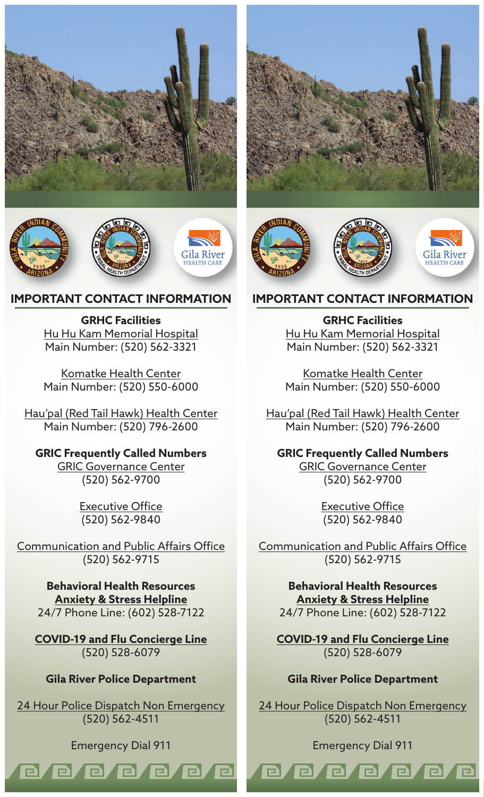





## **IMPORTANT CONTACT INFORMATION**

**GRHC Facilities** Hu Hu Kam Memorial Hospital Main Number: (520) 562-3321

Komatke Health Center Main Number: (520) 550-6000

Hau'pal (Red Tail Hawk) Health Center Main Number: (520) 796-2600

# **GRIC Frequently Called Numbers**

GRIC Governance Center (520) 562-9700

> Executive Office (520) 562-9840

Communication and Public Affairs Office (520) 562-9715

**Behavioral Health Resources Anxiety & Stress Helpline** 24/7 Phone Line: (602) 528-7122

**COVID-19 and Flu Concierge Line** (520) 528-6079

### **Gila River Police Department**

24 Hour Police Dispatch Non Emergency (520) 562-4511

Emergency Dial 911

e e e e e

e

e

el

el



ADIAN

## **IMPORTANT CONTACT INFORMATION**

**GRHC Facilities** Hu Hu Kam Memorial Hospital Main Number: (520) 562-3321

Komatke Health Center Main Number: (520) 550-6000

Hau'pal (Red Tail Hawk) Health Center Main Number: (520) 796-2600

### **GRIC Frequently Called Numbers**

GRIC Governance Center (520) 562-9700

> Executive Office (520) 562-9840

Communication and Public Affairs Office (520) 562-9715

> **Behavioral Health Resources Anxiety & Stress Helpline** 24/7 Phone Line: (602) 528-7122

**COVID-19 and Flu Concierge Line** (520) 528-6079

### **Gila River Police Department**

24 Hour Police Dispatch Non Emergency (520) 562-4511

#### Emergency Dial 911

e/e/e/e/

 $\blacksquare$